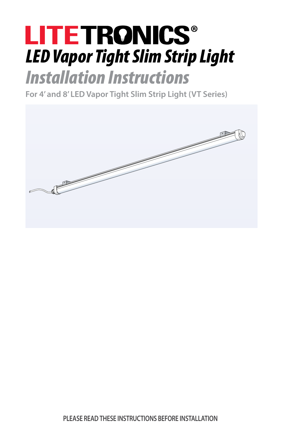# **LITETRONICS®** *LED Vapor Tight Slim Strip Light*

## *Installation Instructions*

**For 4' and 8' LED Vapor Tight Slim Strip Light (VT Series)**

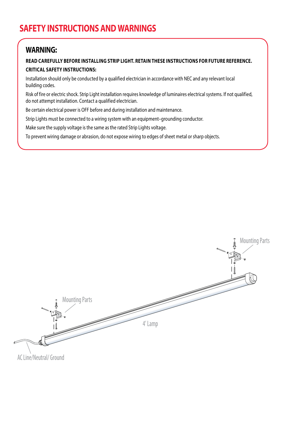#### **WARNING:**

#### **READ CAREFULLY BEFORE INSTALLING STRIP LIGHT. RETAIN THESE INSTRUCTIONS FOR FUTURE REFERENCE. CRITICAL SAFETY INSTRUCTIONS:**

Installation should only be conducted by a qualified electrician in accordance with NEC and any relevant local building codes.

Risk of fire or electric shock. Strip Light installation requires knowledge of luminaires electrical systems. If not qualified, do not attempt installation. Contact a qualified electrician.

Be certain electrical power is OFF before and during installation and maintenance.

Strip Lights must be connected to a wiring system with an equipment–grounding conductor.

Make sure the supply voltage is the same as the rated Strip Lights voltage.

To prevent wiring damage or abrasion, do not expose wiring to edges of sheet metal or sharp objects.

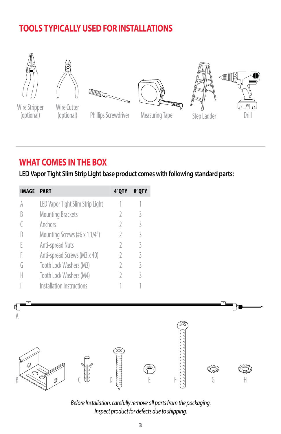## **TOOLS TYPICALLY USED FOR INSTALLATIONS**











#### Wire Stripper (optional)



Phillips Screwdriver

Measuring Tape Step Ladder

## **WHAT COMES IN THE BOX**

**LED Vapor Tight Slim Strip Light base product comes with following standard parts:**

| IMAGE | <b>PART</b>                      | 4' QTY | <b>8' OTY</b> |
|-------|----------------------------------|--------|---------------|
|       | LED Vapor Tight Slim Strip Light |        |               |
| K     | <b>Mounting Brackets</b>         |        | 3             |
|       | Anchors                          |        | 3             |
|       | Mounting Screws (#6 x 1 1/4")    |        | 3             |
|       | Anti-spread Nuts                 |        | 3             |
|       | Anti-spread Screws (M3 x 40)     | 7      | 3             |
| G     | Tooth Lock Washers (M3)          |        | 3             |
|       | Tooth Lock Washers (M4)          |        | ς             |
|       | Installation Instructions        |        |               |



*Before Installation, carefully remove all parts from the packaging. Inspect product for defects due to shipping.*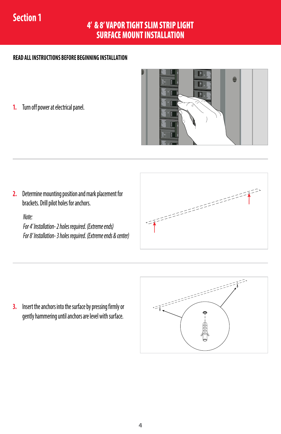## **Section 1**

#### 4' & 8' VAPOR TIGHT SLIM STRIP LIGHT SURFACE MOUNT INSTALLATION

#### **READ ALL INSTRUCTIONS BEFORE BEGINNING INSTALLATION**

**1.** Turn off power at electrical panel.



**2.** Determine mounting position and mark placement for brackets. Drill pilot holes for anchors.

#### *Note:*

*For 4' Installation- 2 holes required. (Extreme ends) For 8' Installation- 3 holes required. (Extreme ends & center)*



**3.** Insert the anchors into the surface by pressing firmly or gently hammering until anchors are level with surface.

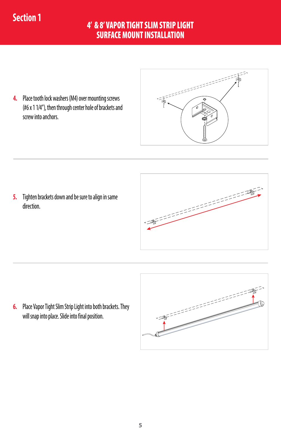## **Section 1**

#### 4' & 8' VAPOR TIGHT SLIM STRIP LIGHT SURFACE MOUNT INSTALLATION

**4.** Place tooth lock washers (M4) over mounting screws (#6 x 1 1/4"), then through center hole of brackets and screw into anchors.

**5.** Tighten brackets down and be sure to align in same direction.



**6.** Place Vapor Tight Slim Strip Light into both brackets. They will snap into place. Slide into final position.

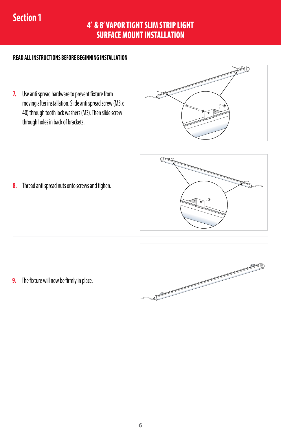## **Section 1**

#### 4' & 8' VAPOR TIGHT SLIM STRIP LIGHT SURFACE MOUNT INSTALLATION

#### **READ ALL INSTRUCTIONS BEFORE BEGINNING INSTALLATION**

**7.** Use anti spread hardware to prevent fixture from moving after installation. Slide anti spread screw (M3 x 40) through tooth lock washers (M3). Then slide screw through holes in back of brackets.



**8.** Thread anti spread nuts onto screws and tighen.



**9.** The fixture will now be firmly in place.

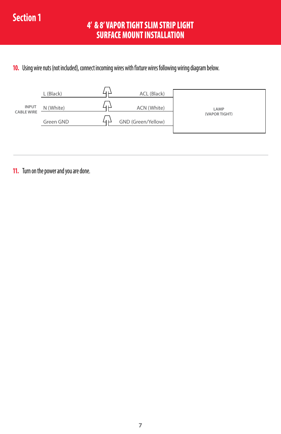#### 4' & 8' VAPOR TIGHT SLIM STRIP LIGHT SURFACE MOUNT INSTALLATION

#### **10.** Using wire nuts (not included), connect incoming wires with fixture wires following wiring diagram below.

|                                   | L (Black) | ACL (Black)        |               |
|-----------------------------------|-----------|--------------------|---------------|
| <b>INPUT</b><br><b>CABLE WIRE</b> | N (White) | ACN (White)        | LAMP          |
|                                   | Green GND | GND (Green/Yellow) | (VAPOR TIGHT) |

**11.** Turn on the power and you are done.